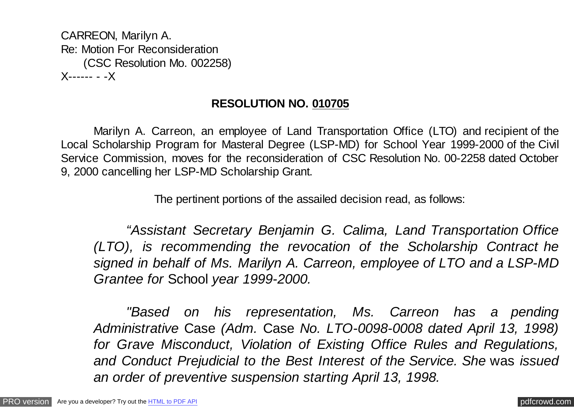CARREON, Marilyn A. Re: Motion For Reconsideration (CSC Resolution Mo. 002258) X------ - -X

## **RESOLUTION NO. 010705**

Marilyn A. Carreon, an employee of Land Transportation Office (LTO) and recipient of the Local Scholarship Program for Masteral Degree (LSP-MD) for School Year 1999-2000 of the Civil Service Commission, moves for the reconsideration of CSC Resolution No. 00-2258 dated October 9, 2000 cancelling her LSP-MD Scholarship Grant.

The pertinent portions of the assailed decision read, as follows:

*"Assistant Secretary Benjamin G. Calima, Land Transportation Office (LTO), is recommending the revocation of the Scholarship Contract he signed in behalf of Ms. Marilyn A. Carreon, employee of LTO and a LSP-MD Grantee for* School *year 1999-2000.*

*"Based on his representation, Ms. Carreon has a pending Administrative* Case *(Adm.* Case *No. LTO-0098-0008 dated April 13, 1998) for Grave Misconduct, Violation of Existing Office Rules and Regulations, and Conduct Prejudicial to the Best Interest of the Service. She* was *issued an order of preventive suspension starting April 13, 1998.*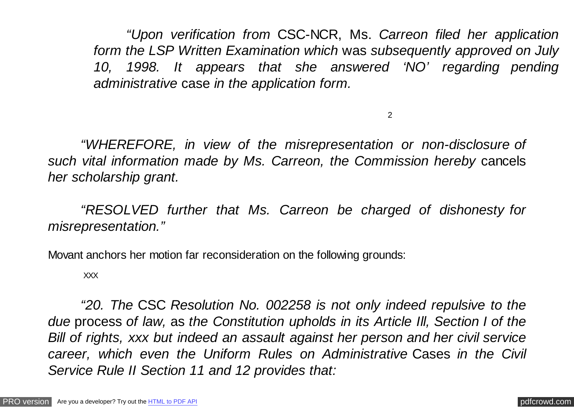*"Upon verification from* CSC-NCR, Ms. *Carreon filed her application form the LSP Written Examination which* was *subsequently approved on July 10, 1998. It appears that she answered 'NO' regarding pending administrative* case *in the application form.*

2

*"WHEREFORE, in view of the misrepresentation or non-disclosure of such vital information made by Ms. Carreon, the Commission hereby* cancels *her scholarship grant.*

*"RESOLVED further that Ms. Carreon be charged of dishonesty for misrepresentation."*

Movant anchors her motion far reconsideration on the following grounds:

XXX

*"20. The* CSC *Resolution No. 002258 is not only indeed repulsive to the due* process *of law,* as *the Constitution upholds in its Article Ill, Section I of the Bill of rights, xxx but indeed an assault against her person and her civil service career, which even the Uniform Rules on Administrative* Cases *in the Civil Service Rule II Section 11 and 12 provides that:*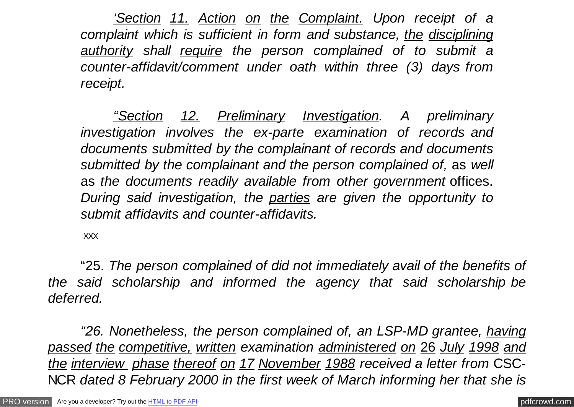*'Section 11. Action on the Complaint. Upon receipt of a complaint which is sufficient in form and substance, the disciplining authority shall require the person complained of to submit a counter-affidavit/comment under oath within three (3) days from receipt.*

*"Section 12. Preliminary Investigation. A preliminary investigation involves the ex-parte examination of records and documents submitted by the complainant of records and documents submitted by the complainant and the person complained of,* as *well* as *the documents readily available from other government* offices. *During said investigation, the parties are given the opportunity to submit affidavits and counter-affidavits.*

XXX

"25. *The person complained of did not immediately avail of the benefits of the said scholarship and informed the agency that said scholarship be deferred.*

*"26. Nonetheless, the person complained of, an LSP-MD grantee, having passed the competitive, written examination administered on* 26 *July 1998 and the interview phase thereof on 17 November 1988 received a letter from* CSC-NCR *dated 8 February 2000 in the first week of March informing her that she is*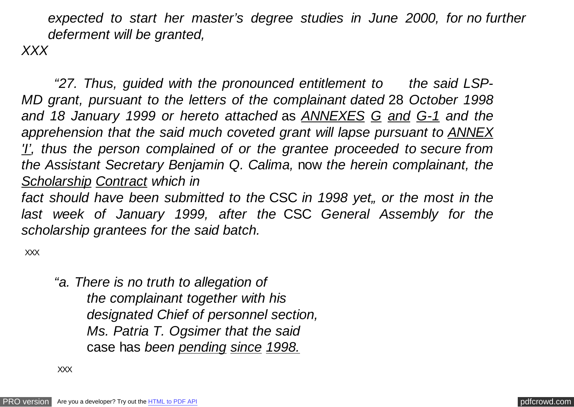*expected to start her master's degree studies in June 2000, for no further deferment will be granted,*

*XXX*

*"27. Thus, guided with the pronounced entitlement to the said LSP-MD grant, pursuant to the letters of the complainant dated* 28 *October 1998 and 18 January 1999 or hereto attached* as *ANNEXES G and G-1 and the apprehension that the said much coveted grant will lapse pursuant to ANNEX 'I', thus the person complained of or the grantee proceeded to secure from the Assistant Secretary Benjamin Q. Calima,* now *the herein complainant, the Scholarship Contract which in*

*fact should have been submitted to the CSC in 1998 yet, or the most in the last week of January 1999, after the* CSC *General Assembly for the scholarship grantees for the said batch.*

XXX

*"a. There is no truth to allegation of the complainant together with his designated Chief of personnel section, Ms. Patria T. Ogsimer that the said* case has *been pending since 1998.*

XXX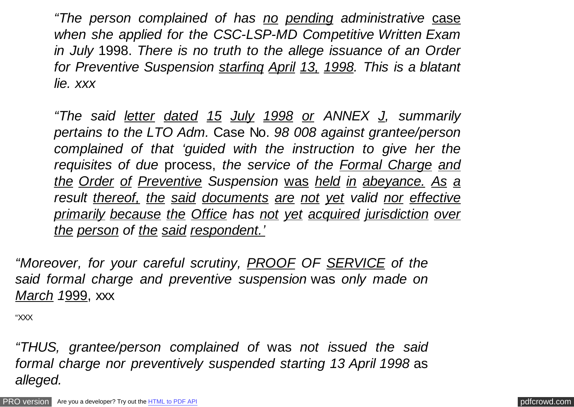*"The person complained of has no pending administrative* case *when she applied for the CSC-LSP-MD Competitive Written Exam in July* 1998. *There is no truth to the allege issuance of an Order for Preventive Suspension starfinq April 13, 1998. This is a blatant lie. xxx*

*"The said letter dated 15 July 1998 or ANNEX J, summarily pertains to the LTO Adm.* Case No. *98 008 against grantee/person complained of that 'guided with the instruction to give her the requisites of due* process, *the service of the Formal Charge and the Order of Preventive Suspension* was *held in abeyance. As a result thereof, the said documents are not yet valid nor effective primarily because the Office has not yet acquired jurisdiction over the person of the said respondent.'*

*"Moreover, for your careful scrutiny, PROOF OF SERVICE of the said formal charge and preventive suspension* was *only made on March 1*999, xxx

"XXX

*"THUS, grantee/person complained of* was *not issued the said formal charge nor preventively suspended starting 13 April 1998* as *alleged.*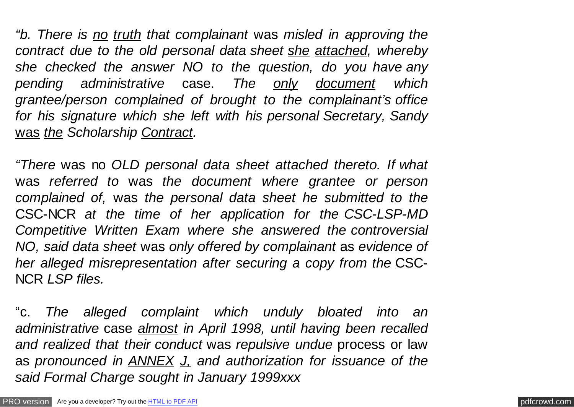*"b. There is no truth that complainant* was *misled in approving the contract due to the old personal data sheet she attached, whereby she checked the answer NO to the question, do you have any pending administrative* case. *The only document which grantee/person complained of brought to the complainant's office for his signature which she left with his personal Secretary, Sandy* was *the Scholarship Contract.*

*"There* was no *OLD personal data sheet attached thereto. If what* was *referred to* was *the document where grantee or person complained of,* was *the personal data sheet he submitted to the* CSC-NCR *at the time of her application for the CSC-LSP-MD Competitive Written Exam where she answered the controversial NO, said data sheet* was *only offered by complainant* as *evidence of her alleged misrepresentation after securing a copy from the* CSC-NCR *LSP files.*

"c. *The alleged complaint which unduly bloated into an administrative* case *almost in April 1998, until having been recalled and realized that their conduct* was *repulsive undue* process or law as *pronounced in ANNEX J, and authorization for issuance of the said Formal Charge sought in January 1999xxx*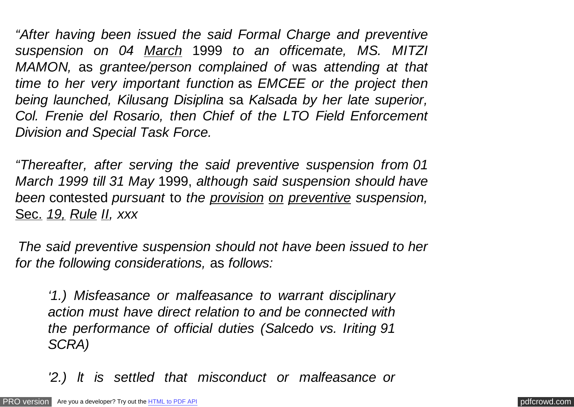*"After having been issued the said Formal Charge and preventive suspension on 04 March* 1999 *to an officemate, MS. MITZI MAMON,* as *grantee/person complained of* was *attending at that time to her very important function* as *EMCEE or the project then being launched, Kilusang Disiplina* sa *Kalsada by her late superior, Col. Frenie del Rosario, then Chief of the LTO Field Enforcement Division and Special Task Force.*

*"Thereafter, after serving the said preventive suspension from 01 March 1999 till 31 May* 1999, *although said suspension should have been* contested *pursuant* to *the provision on preventive suspension,* Sec. *19, Rule II, xxx*

*The said preventive suspension should not have been issued to her for the following considerations,* as *follows:*

*'1.) Misfeasance or malfeasance to warrant disciplinary action must have direct relation to and be connected with the performance of official duties (Salcedo vs. Iriting 91 SCRA)*

*'2.) lt is settled that misconduct or malfeasance or*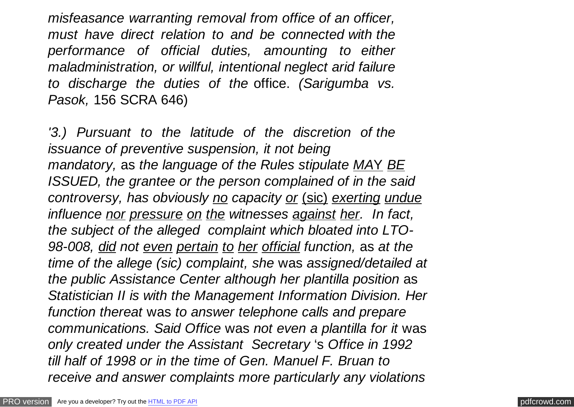*misfeasance warranting removal from office of an officer, must have direct relation to and be connected with the performance of official duties, amounting to either maladministration, or willful, intentional neglect arid failure to discharge the duties of the* office. *(Sarigumba vs. Pasok,* 156 SCRA 646)

*'3.) Pursuant to the latitude of the discretion of the issuance of preventive suspension, it not being mandatory,* as *the language of the Rules stipulate MA*Y *BE ISSUED, the grantee or the person complained of in the said controversy, has obviously no capacity or* (sic) *exerting undue influence nor pressure on the witnesses against her. In fact, the subject of the alleged complaint which bloated into LTO-98-008, did not even pertain to her official function,* as *at the time of the allege (sic) complaint, she* was *assigned/detailed at the public Assistance Center although her plantilla position* as *Statistician II is with the Management Information Division. Her function thereat* was *to answer telephone calls and prepare communications. Said Office* was *not even a plantilla for it* was *only created under the Assistant Secretary* 's *Office in 1992 till half of 1998 or in the time of Gen. Manuel F. Bruan to receive and answer complaints more particularly any violations*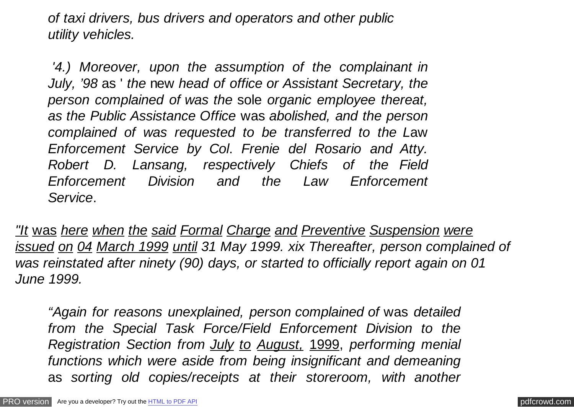*of taxi drivers, bus drivers and operators and other public utility vehicles.* 

*'4.) Moreover, upon the assumption of the complainant in July, '98* as ' *the* new *head of office or Assistant Secretary, the person complained of was the* sole *organic employee thereat, as the Public Assistance Office* was *abolished, and the person complained of was requested to be transferred to the L*aw *Enforcement Service by Col*. *Frenie del Rosario and Atty. Robert D. Lansang, respectively Chiefs of the Field Enforcement Division and the Law Enforcement Service*.

*"It* was *here when the said Formal Charge and Preventive Suspension were issued on 04 March 1999 until 31 May 1999. xix Thereafter, person complained of was reinstated after ninety (90) days, or started to officially report again on 01 June 1999.*

*"Again for reasons unexplained, person complained of was detailed from the Special Task Force/Field Enforcement Division to the Registration Section from July to August,* 1999, *performing menial functions which were aside from being insignificant and demeaning* as *sorting old copies/receipts at their storeroom, with another*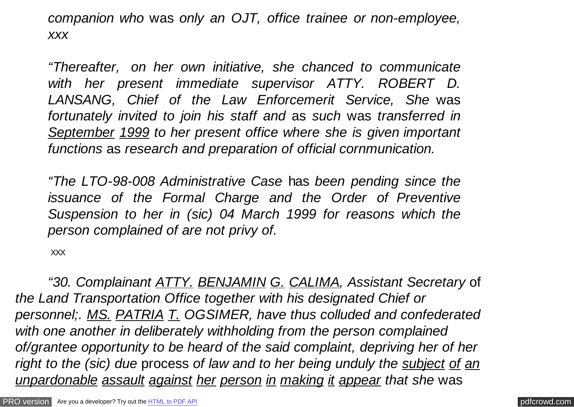*companion who* was *only an OJT, office trainee or non-employee, xxx*

*"Thereafter, on her own initiative, she chanced to communicate with her present immediate supervisor ATTY. ROBERT D. LANSANG, Chief of the Law Enforcemerit Service, She* was *fortunately invited to join his staff and* as *such* was *transferred in September 1999 to her present office where she is given important functions* as *research and preparation of official cornmunication.*

*"The LTO-98-008 Administrative Case* has *been pending since the issuance of the Formal Charge and the Order of Preventive Suspension to her in (sic) 04 March 1999 for reasons which the person complained of are not privy of.*

XXX

*"30. Complainant ATTY. BENJAMIN G. CALIMA, Assistant Secretary* of *the Land Transportation Office together with his designated Chief or personnel;. MS. PATRIA T. OGSIMER, have thus colluded and confederated with one another in deliberately withholding from the person complained of/grantee opportunity to be heard of the said complaint, depriving her of her right to the (sic) due* process *of law and to her being unduly the subject of an unpardonable assault against her person in making it appear that she* was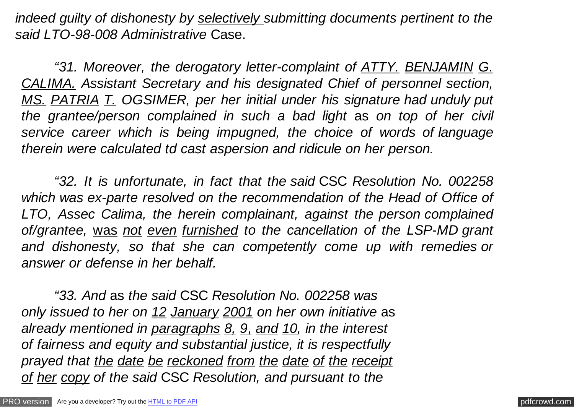*indeed guilty of dishonesty by selectively submitting documents pertinent to the said LTO-98-008 Administrative* Case.

*"31. Moreover, the derogatory letter-complaint of ATTY. BENJAMIN G. CALIMA. Assistant Secretary and his designated Chief of personnel section, MS. PATRIA T. OGSIMER, per her initial under his signature had unduly put the grantee/person complained in such a bad light* as *on top of her civil service career which is being impugned, the choice of words of language therein were calculated td cast aspersion and ridicule on her person.*

*"32. It is unfortunate, in fact that the said* CSC *Resolution No. 002258 which was ex-parte resolved on the recommendation of the Head of Office of LTO, Assec Calima, the herein complainant, against the person complained of/grantee,* was *not even furnished to the cancellation of the LSP-MD grant and dishonesty, so that she can competently come up with remedies or answer or defense in her behalf.*

*"33. And* as *the said* CSC *Resolution No. 002258 was only issued to her on 12 January 2001 on her own initiative* as *already mentioned in paragraphs 8, 9*, *and 10, in the interest of fairness and equity and substantial justice, it is respectfully prayed that the date be reckoned from the date of the receipt of her copy of the said* CSC *Resolution, and pursuant to the*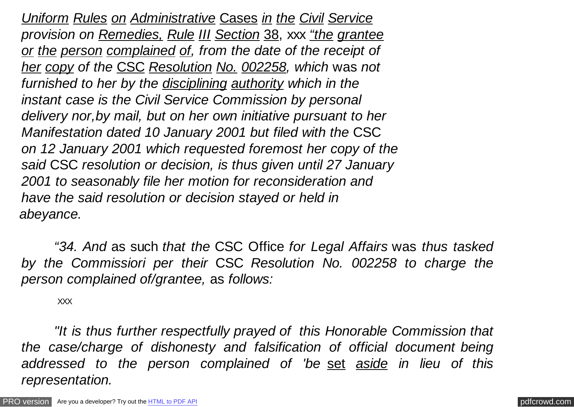*Uniform Rules on Administrative* Cases *in the Civil Service provision on Remedies, Rule III Section* 38, xxx *"the grantee or the person complained of, from the date of the receipt of her copy of the* CSC *Resolution No. 002258, which* was *not furnished to her by the disciplining authority which in the instant case is the Civil Service Commission by personal delivery nor,by mail, but on her own initiative pursuant to her Manifestation dated 10 January 2001 but filed with the* CSC *on 12 January 2001 which requested foremost her copy of the said* CSC *resolution or decision, is thus given until 27 January 2001 to seasonably file her motion for reconsideration and have the said resolution or decision stayed or held in abeyance.*

*"34. And* as such *that the* CSC Office *for Legal Affairs* was *thus tasked by the Commissiori per their* CSC *Resolution No. 002258 to charge the person complained of/grantee,* as *follows:*

XXX

*"It is thus further respectfully prayed of this Honorable Commission that the case/charge of dishonesty and falsification of official document being addressed to the person complained of 'be* set *aside in lieu of this representation.*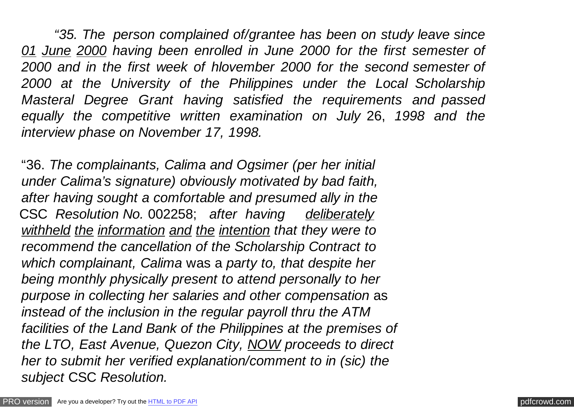*"35. The person complained of/grantee has been on study leave since 01 June 2000 having been enrolled in June 2000 for the first semester of 2000 and in the first week of hlovember 2000 for the second semester of 2000 at the University of the Philippines under the Local Scholarship Masteral Degree Grant having satisfied the requirements and passed equally the competitive written examination on July* 26, *1998 and the interview phase on November 17, 1998.*

"36. *The complainants, Calima and Ogsimer (per her initial under Calima's signature) obviously motivated by bad faith, after having sought a comfortable and presumed ally in the* CSC *Resolution No.* 002258; *after having deliberately withheld the information and the intention that they were to recommend the cancellation of the Scholarship Contract to which complainant, Calima* was a *party to, that despite her being monthly physically present to attend personally to her purpose in collecting her salaries and other compensation* as *instead of the inclusion in the regular payroll thru the ATM facilities of the Land Bank of the Philippines at the premises of the LTO, East Avenue, Quezon City, NOW proceeds to direct her to submit her verified explanation/comment to in (sic) the subject* CSC *Resolution.*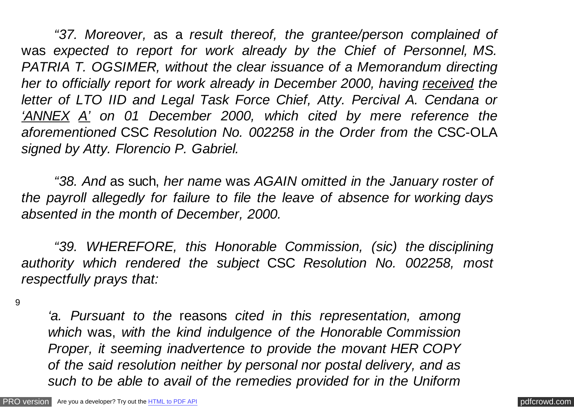*"37. Moreover,* as a *result thereof, the grantee/person complained of* was *expected to report for work already by the Chief of Personnel, MS. PATRIA T. OGSIMER, without the clear issuance of a Memorandum directing her to officially report for work already in December 2000, having received the letter of LTO IID and Legal Task Force Chief, Atty. Percival A. Cendana or 'ANNEX A' on 01 December 2000, which cited by mere reference the aforementioned* CSC *Resolution No. 002258 in the Order from the* CSC-OLA *signed by Atty. Florencio P. Gabriel.*

*"38. And* as such, *her name* was *AGAIN omitted in the January roster of the payroll allegedly for failure to file the leave of absence for working days absented in the month of December, 2000.*

*"39. WHEREFORE, this Honorable Commission, (sic) the disciplining authority which rendered the subject* CSC *Resolution No. 002258, most respectfully prays that:*

9

*'a. Pursuant to the* reasons *cited in this representation, among which* was, *with the kind indulgence of the Honorable Commission Proper, it seeming inadvertence to provide the movant HER COPY of the said resolution neither by personal nor postal delivery, and as such to be able to avail of the remedies provided for in the Uniform*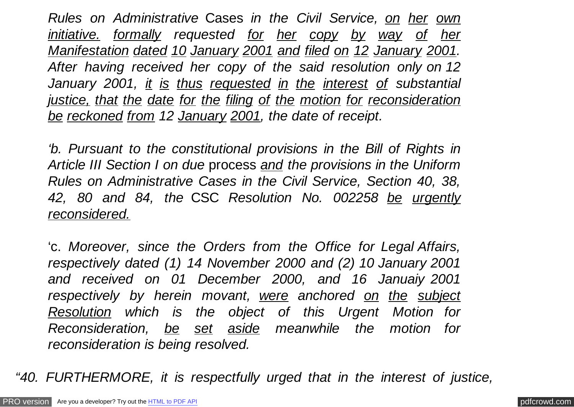*Rules on Administrative* Cases *in the Civil Service, on her own initiative. formally requested for her copy by way of her Manifestation dated 10 January 2001 and filed on 12 January 2001. After having received her copy of the said resolution only on 12 January 2001, it is thus requested in the interest of substantial justice, that the date for the filing of the motion for reconsideration be reckoned from 12 January 2001, the date of receipt.*

*'b. Pursuant to the constitutional provisions in the Bill of Rights in Article III Section I on due* process *and the provisions in the Uniform Rules on Administrative Cases in the Civil Service, Section 40, 38, 42, 80 and 84, the* CSC *Resolution No. 002258 be urgently reconsidered.*

'c. *Moreover, since the Orders from the Office for Legal Affairs, respectively dated (1) 14 November 2000 and (2) 10 January 2001 and received on 01 December 2000, and 16 Januaiy 2001 respectively by herein movant, were anchored on the subject Resolution which is the object of this Urgent Motion for Reconsideration, be set aside meanwhile the motion for reconsideration is being resolved.*

*"40. FURTHERMORE, it is respectfully urged that in the interest of justice,*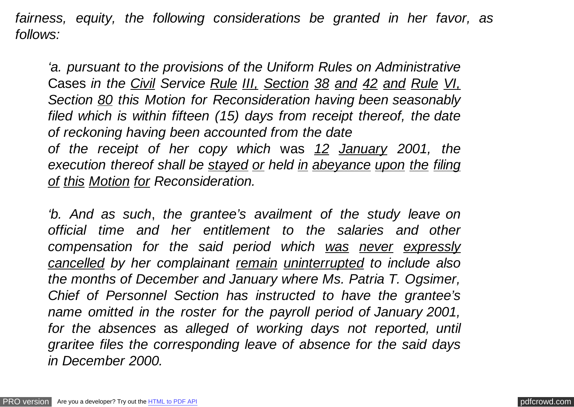*fairness, equity, the following considerations be granted in her favor, as follows:*

*'a. pursuant to the provisions of the Uniform Rules on Administrative* Cases *in the Civil Service Rule III, Section 38 and 42 and Rule VI, Section 80 this Motion for Reconsideration having been seasonably filed which is within fifteen (15) days from receipt thereof, the date of reckoning having been accounted from the date of the receipt of her copy which* was *12 January 2001, the execution thereof shall be stayed or held in abeyance upon the filing*

*of this Motion for Reconsideration.*

*'b. And as such*, *the grantee's availment of the study leave on official time and her entitlement to the salaries and other compensation for the said period which was never expressly cancelled by her complainant remain uninterrupted to include also the months of December and January where Ms. Patria T. Ogsimer, Chief of Personnel Section has instructed to have the grantee's name omitted in the roster for the payroll period of January 2001, for the absences* as *alleged of working days not reported, until graritee files the corresponding leave of absence for the said days in December 2000.*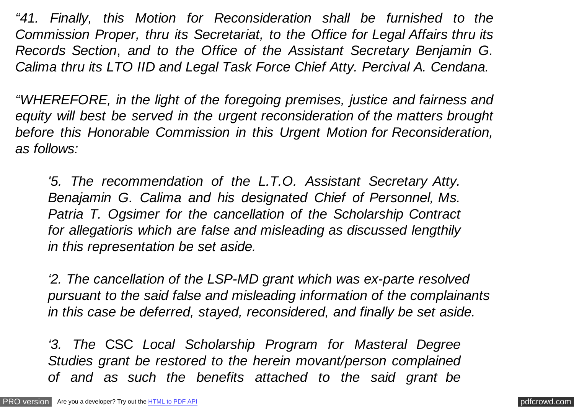*"41. Finally, this Motion for Reconsideration shall be furnished to the Commission Proper, thru its Secretariat, to the Office for Legal Affairs thru its Records Section*, *and to the Office of the Assistant Secretary Benjamin G. Calima thru its LTO IID and Legal Task Force Chief Atty. Percival A. Cendana.*

*"WHEREFORE, in the light of the foregoing premises, justice and fairness and equity will best be served in the urgent reconsideration of the matters brought before this Honorable Commission in this Urgent Motion for Reconsideration, as follows:*

*'5. The recommendation of the L.T.O. Assistant Secretary Atty. Benajamin G. Calima and his designated Chief of Personnel, Ms. Patria T. Ogsimer for the cancellation of the Scholarship Contract for allegatioris which are false and misleading as discussed lengthily in this representation be set aside.*

*'2. The cancellation of the LSP-MD grant which was ex-parte resolved pursuant to the said false and misleading information of the complainants in this case be deferred, stayed, reconsidered, and finally be set aside.*

*'3. The* CSC *Local Scholarship Program for Masteral Degree Studies grant be restored to the herein movant/person complained of and as such the benefits attached to the said grant be*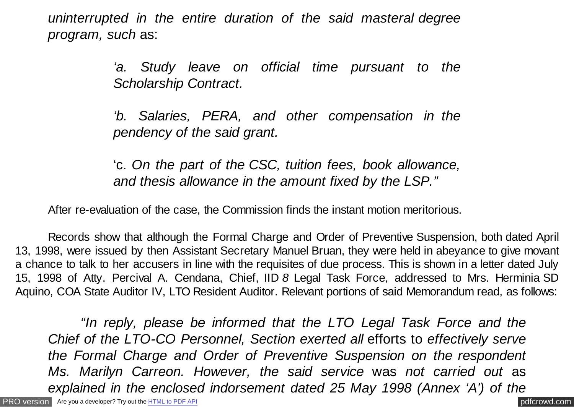*uninterrupted in the entire duration of the said masteral degree program, such* as:

> *'a. Study leave on official time pursuant to the Scholarship Contract.*

> *'b. Salaries, PERA, and other compensation in the pendency of the said grant.*

> 'c. *On the part of the CSC, tuition fees, book allowance, and thesis allowance in the amount fixed by the LSP."*

After re-evaluation of the case, the Commission finds the instant motion meritorious.

Records show that although the Formal Charge and Order of Preventive Suspension, both dated April 13, 1998, were issued by then Assistant Secretary Manuel Bruan, they were held in abeyance to give movant a chance to talk to her accusers in line with the requisites of due process. This is shown in a letter dated July 15, 1998 of Atty. Percival A. Cendana, Chief, IID *8* Legal Task Force, addressed to Mrs. Herminia SD Aquino, COA State Auditor IV, LTO Resident Auditor. Relevant portions of said Memorandum read, as follows:

*"In reply, please be informed that the LTO Legal Task Force and the Chief of the LTO-CO Personnel, Section exerted all* efforts to *effectively serve the Formal Charge and Order of Preventive Suspension on the respondent Ms. Marilyn Carreon. However, the said service* was *not carried out* as *explained in the enclosed indorsement dated 25 May 1998 (Annex 'A') of the*

[PRO version](http://pdfcrowd.com/customize/) Are you a developer? Try out the **HTML to PDF API [pdfcrowd.com](http://pdfcrowd.com)**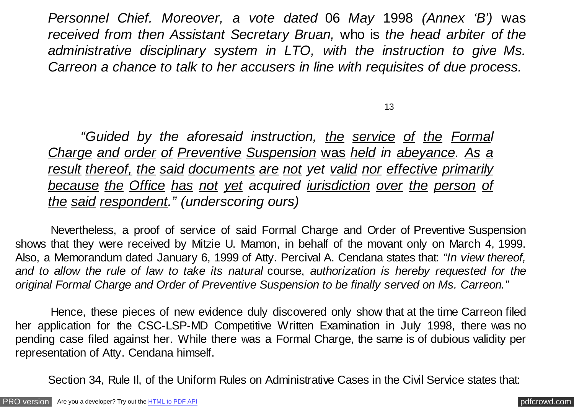*Personnel Chief. Moreover, a vote dated* 06 *May* 1998 *(Annex 'B')* was *received from then Assistant Secretary Bruan,* who is *the head arbiter of the administrative disciplinary system in LTO, with the instruction to give Ms. Carreon a chance to talk to her accusers in line with requisites of due process.*

13

*"Guided by the aforesaid instruction, the service of the Formal Charge and order of Preventive Suspension* was *held in abeyance. As a result thereof, the said documents are not yet valid nor effective primarily because the Office has not yet acquired iurisdiction over the person of the said respondent." (underscoring ours)*

Nevertheless, a proof of service of said Formal Charge and Order of Preventive Suspension shows that they were received by Mitzie U. Mamon, in behalf of the movant only on March 4, 1999. Also, a Memorandum dated January 6, 1999 of Atty. Percival A. Cendana states that: *"In view thereof, and to allow the rule of law to take its natural* course, *authorization is hereby requested for the original Formal Charge and Order of Preventive Suspension to be finally served on Ms. Carreon."*

Hence, these pieces of new evidence duly discovered only show that at the time Carreon filed her application for the CSC-LSP-MD Competitive Written Examination in July 1998, there was no pending case filed against her. While there was a Formal Charge, the same is of dubious validity per representation of Atty. Cendana himself.

Section 34, Rule Il, of the Uniform Rules on Administrative Cases in the Civil Service states that: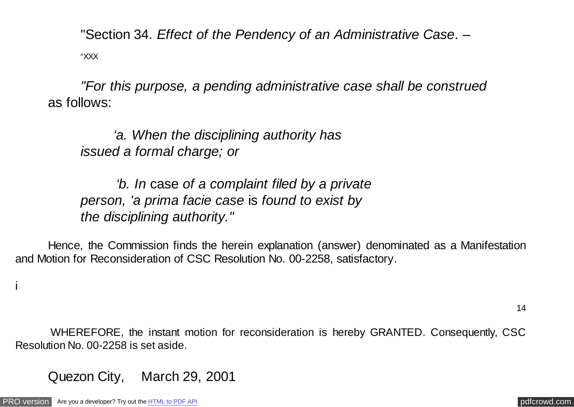"Section 34. *Effect of the Pendency of an Administrative Case*. – "XXX

*"For this purpose, a pending administrative case shall be construed* as follows:

*'a. When the disciplining authority has issued a formal charge; or*

*'b. In* case *of a complaint filed by a private person, 'a prima facie case* is *found to exist by the disciplining authority."*

Hence, the Commission finds the herein explanation (answer) denominated as a Manifestation and Motion for Reconsideration of CSC Resolution No. 00-2258, satisfactory.

14

WHEREFORE, the instant motion for reconsideration is hereby GRANTED. Consequently, CSC Resolution No. 00-2258 is set aside.

Quezon City, March 29, 2001

i